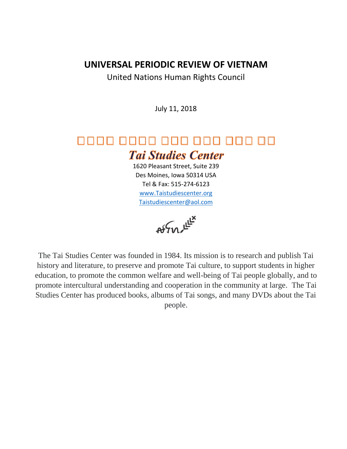# **UNIVERSAL PERIODIC REVIEW OF VIETNAM**

United Nations Human Rights Council

July 11, 2018

# 0000 0000 000 000 000 00 **Tai Studies Center**

1620 Pleasant Street, Suite 239 Des Moines, Iowa 50314 USA Tel & Fax: 515-274-6123 [www.Taistudiescenter.org](http://www.taistudiescenter.org/) [Taistudiescenter@aol.com](mailto:Taistudiescenter@aol.com)

 $\mathsf{A}\mathsf{A}\mathsf{A}\mathsf{A}\mathsf{A}\mathsf{B}\mathsf{B}^{\mathsf{H}\mathsf{B}}$ 

The Tai Studies Center was founded in 1984. Its mission is to research and publish Tai history and literature, to preserve and promote Tai culture, to support students in higher education, to promote the common welfare and well-being of Tai people globally, and to promote intercultural understanding and cooperation in the community at large. The Tai Studies Center has produced books, albums of Tai songs, and many DVDs about the Tai people.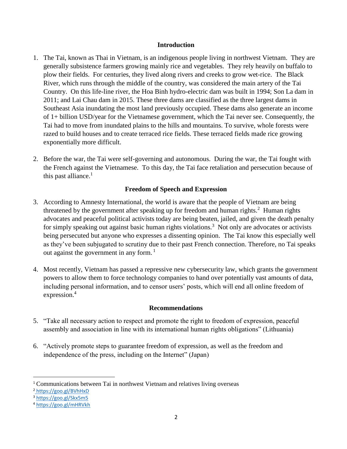## **Introduction**

- 1. The Tai, known as Thai in Vietnam, is an indigenous people living in northwest Vietnam. They are generally subsistence farmers growing mainly rice and vegetables. They rely heavily on buffalo to plow their fields. For centuries, they lived along rivers and creeks to grow wet-rice. The Black River, which runs through the middle of the country, was considered the main artery of the Tai Country. On this life-line river, the Hoa Binh hydro-electric dam was built in 1994; Son La dam in 2011; and Lai Chau dam in 2015. These three dams are classified as the three largest dams in Southeast Asia inundating the most land previously occupied. These dams also generate an income of 1+ billion USD/year for the Vietnamese government, which the Tai never see. Consequently, the Tai had to move from inundated plains to the hills and mountains. To survive, whole forests were razed to build houses and to create terraced rice fields. These terraced fields made rice growing exponentially more difficult.
- <span id="page-1-0"></span>2. Before the war, the Tai were self-governing and autonomous. During the war, the Tai fought with the French against the Vietnamese. To this day, the Tai face retaliation and persecution because of this past alliance. $<sup>1</sup>$ </sup>

# **Freedom of Speech and Expression**

- 3. According to Amnesty International, the world is aware that the people of Vietnam are being threatened by the government after speaking up for freedom and human rights.<sup>2</sup> Human rights advocates and peaceful political activists today are being beaten, jailed, and given the death penalty for simply speaking out against basic human rights violations.<sup>3</sup> Not only are advocates or activists being persecuted but anyone who expresses a dissenting opinion. The Tai know this especially well as they've been subjugated to scrutiny due to their past French connection. Therefore, no Tai speaks out against the government in any form.<sup>[1](#page-1-0)</sup>
- 4. Most recently, Vietnam has passed a repressive new cybersecurity law, which grants the government powers to allow them to force technology companies to hand over potentially vast amounts of data, including personal information, and to censor users' posts, which will end all online freedom of expression.<sup>4</sup>

# **Recommendations**

- 5. "Take all necessary action to respect and promote the right to freedom of expression, peaceful assembly and association in line with its international human rights obligations" (Lithuania)
- 6. "Actively promote steps to guarantee freedom of expression, as well as the freedom and independence of the press, including on the Internet" (Japan)

<sup>2</sup> <https://goo.gl/BVhHxD>

 $\overline{\phantom{a}}$ 

<sup>1</sup> Communications between Tai in northwest Vietnam and relatives living overseas

<sup>3</sup> <https://goo.gl/Skx5m5>

<sup>4</sup> <https://goo.gl/mHRVkh>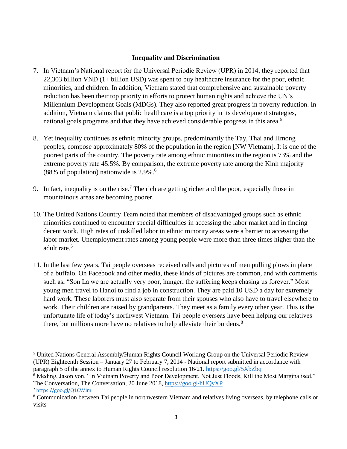# **Inequality and Discrimination**

- 7. In Vietnam's National report for the Universal Periodic Review (UPR) in 2014, they reported that 22,303 billion VND (1+ billion USD) was spent to buy healthcare insurance for the poor, ethnic minorities, and children. In addition, Vietnam stated that comprehensive and sustainable poverty reduction has been their top priority in efforts to protect human rights and achieve the UN's Millennium Development Goals (MDGs). They also reported great progress in poverty reduction. In addition, Vietnam claims that public healthcare is a top priority in its development strategies, national goals programs and that they have achieved considerable progress in this area.<sup>5</sup>
- 8. Yet inequality continues as ethnic minority groups, predominantly the Tay, Thai and Hmong peoples, compose approximately 80% of the population in the region [NW Vietnam]. It is one of the poorest parts of the country. The poverty rate among ethnic minorities in the region is 73% and the extreme poverty rate 45.5%. By comparison, the extreme poverty rate among the Kinh majority (88% of population) nationwide is  $2.9\%$ .<sup>6</sup>
- 9. In fact, inequality is on the rise.<sup>7</sup> The rich are getting richer and the poor, especially those in mountainous areas are becoming poorer.
- 10. The United Nations Country Team noted that members of disadvantaged groups such as ethnic minorities continued to encounter special difficulties in accessing the labor market and in finding decent work. High rates of unskilled labor in ethnic minority areas were a barrier to accessing the labor market. Unemployment rates among young people were more than three times higher than the adult rate.<sup>5</sup>
- 11. In the last few years, Tai people overseas received calls and pictures of men pulling plows in place of a buffalo. On Facebook and other media, these kinds of pictures are common, and with comments such as, "Son La we are actually very poor, hunger, the suffering keeps chasing us forever." Most young men travel to Hanoi to find a job in construction. They are paid 10 USD a day for extremely hard work. These laborers must also separate from their spouses who also have to travel elsewhere to work. Their children are raised by grandparents. They meet as a family every other year. This is the unfortunate life of today's northwest Vietnam. Tai people overseas have been helping our relatives there, but millions more have no relatives to help alleviate their burdens.<sup>8</sup>

 $\overline{\phantom{a}}$ 

<sup>5</sup> United Nations General Assembly/Human Rights Council Working Group on the Universal Periodic Review (UPR) Eighteenth Session – January 27 to February 7, 2014 - National report submitted in accordance with paragraph 5 of the annex to Human Rights Council resolution 16/21.<https://goo.gl/5XbZbq>

<sup>&</sup>lt;sup>6</sup> Meding, Jason von. "In Vietnam Poverty and Poor Development, Not Just Floods, Kill the Most Marginalised." The Conversation, The Conversation, 20 June 2018[, https://goo.gl/hUQyXP](https://goo.gl/hUQyXP) <sup>7</sup> <https://goo.gl/Q1CWJm>

<sup>8</sup> Communication between Tai people in northwestern Vietnam and relatives living overseas, by telephone calls or visits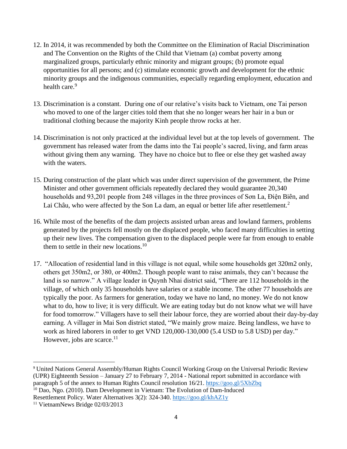- 12. In 2014, it was recommended by both the Committee on the Elimination of Racial Discrimination and The Convention on the Rights of the Child that Vietnam (a) combat poverty among marginalized groups, particularly ethnic minority and migrant groups; (b) promote equal opportunities for all persons; and (c) stimulate economic growth and development for the ethnic minority groups and the indigenous communities, especially regarding employment, education and health care.<sup>9</sup>
- 13. Discrimination is a constant. During one of our relative's visits back to Vietnam, one Tai person who moved to one of the larger cities told them that she no longer wears her hair in a bun or traditional clothing because the majority Kinh people throw rocks at her.
- 14. Discrimination is not only practiced at the individual level but at the top levels of government. The government has released water from the dams into the Tai people's sacred, living, and farm areas without giving them any warning. They have no choice but to flee or else they get washed away with the waters.
- 15. During construction of the plant which was under direct supervision of the government, the Prime Minister and other government officials repeatedly declared they would guarantee 20,340 households and 93,201 people from 248 villages in the three provinces of Sơn La, Điện Biên, and Lai Châu, who were affected by the Son La dam, an equal or better life after resettlement.<sup>2</sup>
- 16. While most of the benefits of the dam projects assisted urban areas and lowland farmers, problems generated by the projects fell mostly on the displaced people, who faced many difficulties in setting up their new lives. The compensation given to the displaced people were far from enough to enable them to settle in their new locations.<sup>10</sup>
- 17. "Allocation of residential land in this village is not equal, while some households get 320m2 only, others get 350m2, or 380, or 400m2. Though people want to raise animals, they can't because the land is so narrow." A village leader in Quynh Nhai district said, "There are 112 households in the village, of which only 35 households have salaries or a stable income. The other 77 households are typically the poor. As farmers for generation, today we have no land, no money. We do not know what to do, how to live; it is very difficult. We are eating today but do not know what we will have for food tomorrow." Villagers have to sell their labour force, they are worried about their day-by-day earning. A villager in Mai Son district stated, "We mainly grow maize. Being landless, we have to work as hired laborers in order to get VND 120,000-130,000 (5.4 USD to 5.8 USD) per day." However, jobs are scarce.<sup>11</sup>

l

<sup>9</sup> United Nations General Assembly/Human Rights Council Working Group on the Universal Periodic Review (UPR) Eighteenth Session – January 27 to February 7, 2014 - National report submitted in accordance with paragraph 5 of the annex to Human Rights Council resolution 16/21.<https://goo.gl/5XbZbq>

 $10$  Dao, Ngo. (2010). Dam Development in Vietnam: The Evolution of Dam-Induced Resettlement Policy. Water Alternatives 3(2): 324-340[. https://goo.gl/khAZ1y](https://goo.gl/khAZ1y)

<sup>&</sup>lt;sup>11</sup> VietnamNews Bridge 02/03/2013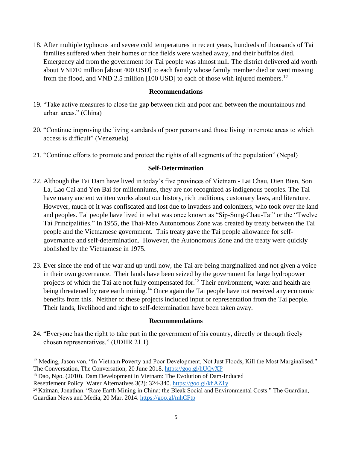18. After multiple typhoons and severe cold temperatures in recent years, hundreds of thousands of Tai families suffered when their homes or rice fields were washed away, and their buffalos died. Emergency aid from the government for Tai people was almost null. The district delivered aid worth about VND10 million [about 400 USD] to each family whose family member died or went missing from the flood, and VND 2.5 million  $[100 \text{ USD}]$  to each of those with injured members.<sup>12</sup>

#### **Recommendations**

- 19. "Take active measures to close the gap between rich and poor and between the mountainous and urban areas." (China)
- 20. "Continue improving the living standards of poor persons and those living in remote areas to which access is difficult" (Venezuela)
- 21. "Continue efforts to promote and protect the rights of all segments of the population" (Nepal)

## **Self-Determination**

- 22. Although the Tai Dam have lived in today's five provinces of Vietnam Lai Chau, Dien Bien, Son La, Lao Cai and Yen Bai for millenniums, they are not recognized as indigenous peoples. The Tai have many ancient written works about our history, rich traditions, customary laws, and literature. However, much of it was confiscated and lost due to invaders and colonizers, who took over the land and peoples. Tai people have lived in what was once known as "Sip-Song-Chau-Tai" or the "Twelve Tai Principalities." In 1955, the Thai-Meo Autonomous Zone was created by treaty between the Tai people and the Vietnamese government. This treaty gave the Tai people allowance for selfgovernance and self-determination. However, the Autonomous Zone and the treaty were quickly abolished by the Vietnamese in 1975.
- 23. Ever since the end of the war and up until now, the Tai are being marginalized and not given a voice in their own governance. Their lands have been seized by the government for large hydropower projects of which the Tai are not fully compensated for.<sup>13</sup> Their environment, water and health are being threatened by rare earth mining.<sup>14</sup> Once again the Tai people have not received any economic benefits from this. Neither of these projects included input or representation from the Tai people. Their lands, livelihood and right to self-determination have been taken away.

#### **Recommendations**

24. "Everyone has the right to take part in the government of his country, directly or through freely chosen representatives." (UDHR 21.1)

 $\overline{a}$ 

<sup>&</sup>lt;sup>12</sup> Meding, Jason von. "In Vietnam Poverty and Poor Development, Not Just Floods, Kill the Most Marginalised." The Conversation, The Conversation, 20 June 2018[. https://goo.gl/hUQyXP](https://goo.gl/hUQyXP)

<sup>13</sup> Dao, Ngo. (2010). Dam Development in Vietnam: The Evolution of Dam-Induced

Resettlement Policy. Water Alternatives 3(2): 324-340[. https://goo.gl/khAZ1y](https://goo.gl/khAZ1y)

<sup>14</sup> Kaiman, Jonathan. "Rare Earth Mining in China: the Bleak Social and Environmental Costs." The Guardian, Guardian News and Media, 20 Mar. 2014.<https://goo.gl/mhCFtp>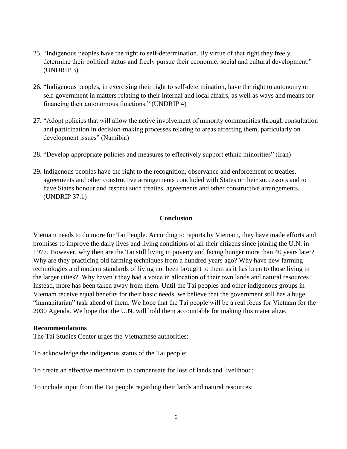- 25. "Indigenous peoples have the right to self-determination. By virtue of that right they freely determine their political status and freely pursue their economic, social and cultural development." (UNDRIP 3)
- 26. "Indigenous peoples, in exercising their right to self-determination, have the right to autonomy or self-government in matters relating to their internal and local affairs, as well as ways and means for financing their autonomous functions." (UNDRIP 4)
- 27. "Adopt policies that will allow the active involvement of minority communities through consultation and participation in decision-making processes relating to areas affecting them, particularly on development issues" (Namibia)
- 28. "Develop appropriate policies and measures to effectively support ethnic minorities" (Iran)
- 29. Indigenous peoples have the right to the recognition, observance and enforcement of treaties, agreements and other constructive arrangements concluded with States or their successors and to have States honour and respect such treaties, agreements and other constructive arrangements. (UNDRIP 37.1)

#### **Conclusion**

Vietnam needs to do more for Tai People. According to reports by Vietnam, they have made efforts and promises to improve the daily lives and living conditions of all their citizens since joining the U.N. in 1977. However, why then are the Tai still living in poverty and facing hunger more than 40 years later? Why are they practicing old farming techniques from a hundred years ago? Why have new farming technologies and modern standards of living not been brought to them as it has been to those living in the larger cities? Why haven't they had a voice in allocation of their own lands and natural resources? Instead, more has been taken away from them. Until the Tai peoples and other indigenous groups in Vietnam receive equal benefits for their basic needs, we believe that the government still has a huge "humanitarian" task ahead of them. We hope that the Tai people will be a real focus for Vietnam for the 2030 Agenda. We hope that the U.N. will hold them accountable for making this materialize.

#### **Recommendations**

The Tai Studies Center urges the Vietnamese authorities:

To acknowledge the indigenous status of the Tai people;

To create an effective mechanism to compensate for loss of lands and livelihood;

To include input from the Tai people regarding their lands and natural resources;